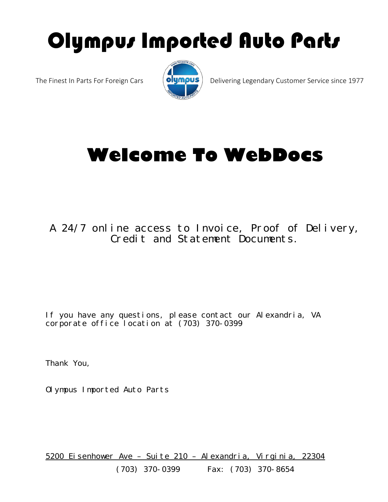# Olympus Imported Auto Parts



The Finest In Parts For Foreign Cars  $\Box$  **Olympus** Delivering Legendary Customer Service since 1977

## **Welcome To WebDocs**

### A 24/7 online access to Invoice, Proof of Delivery, Credit and Statement Documents.

If you have any questions, please contact our Alexandria, VA corporate office location at (703) 370-0399

Thank You,

Olympus Imported Auto Parts

5200 Eisenhower Ave – Suite 210 – Alexandria, Virginia, 22304 (703) 370-0399 Fax: (703) 370-8654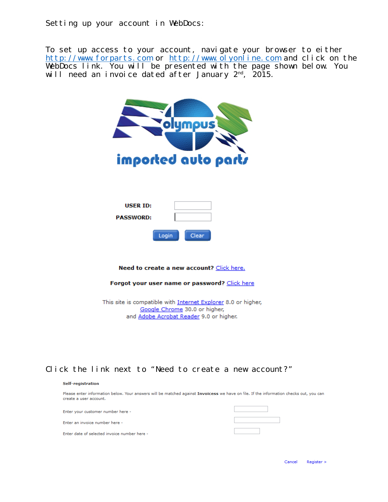Setting up your account in WebDocs:

To set up access to your account, navigate your browser to either [http://www.forparts.com](http://www.forparts.com/) or [http://www.olyonline.com](http://www.olyonline.com/) and click on the WebDocs link. You will be presented with the page shown below. You will need an invoice dated after January 2nd, 2015.



Need to create a new account? Click here.

Forgot your user name or password? Click here

This site is compatible with Internet Explorer 8.0 or higher, Google Chrome 30.0 or higher, and Adobe Acrobat Reader 9.0 or higher.

#### Click the link next to "Need to create a new account?"

#### Self-registration

Please enter information below. Your answers will be matched against Invoicess we have on file. If the information checks out, you can create a user account.

| Enter your customer number here -            |  |
|----------------------------------------------|--|
| Enter an invoice number here -               |  |
| Enter date of selected invoice number here - |  |

Cancel Register >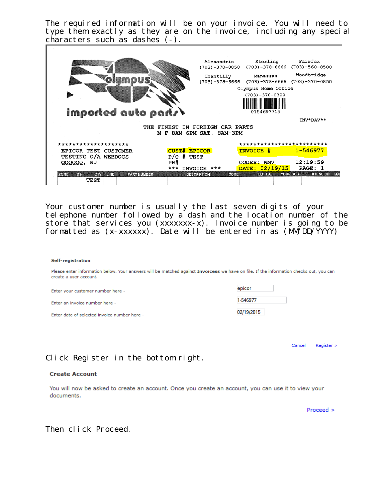The required information will be on your invoice. You will need to type them exactly as they are on the invoice, including any special characters such as dashes (-).



Your customer number is usually the last seven digits of your telephone number followed by a dash and the location number of the store that services you  $(xxxxxxx-x)$ . Invoice number is going to be formatted as  $(x-xxxxx)$ . Date will be entered in as  $(MNDD/YYYY)$ 

#### Self-registration

Please enter information below. Your answers will be matched against Invoicess we have on file. If the information checks out, you can create a user account.

Enter your customer number here -

Enter an invoice number here -

Enter date of selected invoice number here -

| epicor     |  |
|------------|--|
| 1-546977   |  |
| 02/19/2015 |  |

Register > Cancel

#### Click Register in the bottom right.

#### **Create Account**

You will now be asked to create an account. Once you create an account, you can use it to view your documents.

Proceed >

#### Then click Proceed.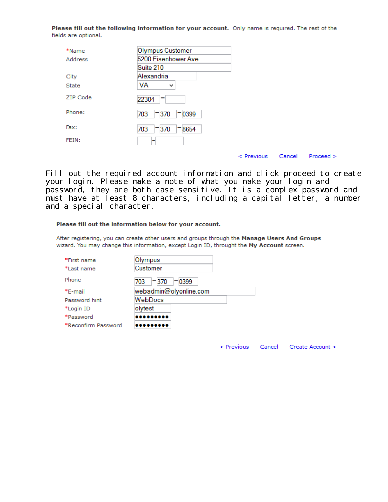Please fill out the following information for your account. Only name is required. The rest of the fields are optional.

| *Name        | <b>Olympus Customer</b> |                 |        |           |
|--------------|-------------------------|-----------------|--------|-----------|
| Address      | 5200 Eisenhower Ave     |                 |        |           |
|              | Suite 210               |                 |        |           |
| City         | Alexandria              |                 |        |           |
| <b>State</b> | VA<br>v                 |                 |        |           |
| ZIP Code     | 22304<br>$\blacksquare$ |                 |        |           |
| Phone:       | 0399<br>$-370$<br>703   |                 |        |           |
| Fax:         | 8654<br>$-370$<br>703   |                 |        |           |
| FEIN:        | -                       |                 |        |           |
|              |                         | $\leq$ Previous | Cancel | Proceed > |

Fill out the required account information and click proceed to create your login. Please make a note of what you make your login and password, they are both case sensitive. It is a complex password and must have at least 8 characters, including a capital letter, a number and a special character.

#### Please fill out the information below for your account.

After registering, you can create other users and groups through the Manage Users And Groups wizard. You may change this information, except Login ID, throught the My Account screen.

| *First name         | Olympus                 |
|---------------------|-------------------------|
| *Last name          | Customer                |
| Phone               | $-370$<br>- 0399<br>703 |
| *E-mail             | webadmin@olyonline.com  |
| Password hint       | WebDocs                 |
| *Login ID           | olytest                 |
| *Password           |                         |
| *Reconfirm Password |                         |

< Previous Cancel Create Account >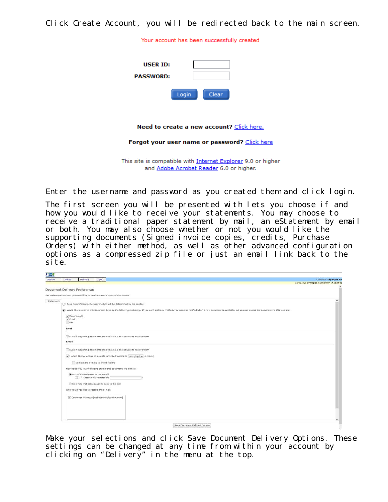Click Create Account, you will be redirected back to the main screen.

Your account has been successfully created

| USER ID:<br><b>PASSWORD:</b>                         |       |       |  |
|------------------------------------------------------|-------|-------|--|
|                                                      | Login | Clear |  |
| <b>Need to create a new account?</b> Click here.     |       |       |  |
| <b>Forgot your user name or password? Click here</b> |       |       |  |

This site is compatible with Internet Explorer 9.0 or higher and Adobe Acrobat Reader 6.0 or higher.

Enter the username and password as you created them and click login.

The first screen you will be presented with lets you choose if and how you would like to receive your statements. You may choose to receive a traditional paper statement by mail, an eStatement by email or both. You may also choose whether or not you would like the supporting documents (Signed invoice copies, credits, Purchase Orders) with either method, as well as other advanced configuration options as a compressed zip file or just an email link back to the site.

| <b>Sept</b> |                                      |                                                                    |        |                                                                                                                                                                                                                                 |                                    |
|-------------|--------------------------------------|--------------------------------------------------------------------|--------|---------------------------------------------------------------------------------------------------------------------------------------------------------------------------------------------------------------------------------|------------------------------------|
| Search      | <b>Utilities</b>                     | Delivery                                                           | Logout |                                                                                                                                                                                                                                 | <b>Cabinets: Olympus AR</b>        |
|             |                                      |                                                                    |        |                                                                                                                                                                                                                                 | Company: Olympus Customer (A13394) |
|             | <b>Document Delivery Preferences</b> |                                                                    |        |                                                                                                                                                                                                                                 |                                    |
|             |                                      |                                                                    |        | Set preferences on how you would like to receive various types of documents.                                                                                                                                                    |                                    |
|             |                                      |                                                                    |        |                                                                                                                                                                                                                                 |                                    |
| Statements  |                                      |                                                                    |        | ○1 have no preference. Delivery method will be determined by the sender.                                                                                                                                                        |                                    |
|             |                                      |                                                                    |        | (b) would like to receive this Document Type by the following method(s). If you dan't pick any method, you won't be notified when a new document is available, but you can access the document via this web site.               |                                    |
|             | Paper (mail)<br>Cmail<br>Fax         |                                                                    |        |                                                                                                                                                                                                                                 |                                    |
|             | Print                                |                                                                    |        |                                                                                                                                                                                                                                 |                                    |
|             |                                      |                                                                    |        | V Even if supporting documents are available, I do not want to receive them.                                                                                                                                                    |                                    |
|             | Email                                |                                                                    |        |                                                                                                                                                                                                                                 |                                    |
|             |                                      | Do not send e-mails to linked folders                              |        | Even if supporting documents are available, I do not want to receive them<br>v I would like to receive all e-mails for linked folders as combined v e-mail(s)<br>How would you like to receive Statements documents via e-mail? |                                    |
|             |                                      | (As a PDF attachment to the e-mail<br>ZIP (password protected zip) |        |                                                                                                                                                                                                                                 |                                    |
|             |                                      | An e-mail that contains a link back to this site                   |        |                                                                                                                                                                                                                                 |                                    |
|             |                                      | Who would you like to receive the e-mail?                          |        |                                                                                                                                                                                                                                 |                                    |
|             |                                      |                                                                    |        | Customer, Olympus [webadmin@olyonline.com]                                                                                                                                                                                      |                                    |
|             |                                      |                                                                    |        |                                                                                                                                                                                                                                 |                                    |
|             |                                      |                                                                    |        | Save Document Delivery Options                                                                                                                                                                                                  |                                    |

Make your selections and click Save Document Delivery Options. These settings can be changed at any time from within your account by clicking on "Delivery" in the menu at the top.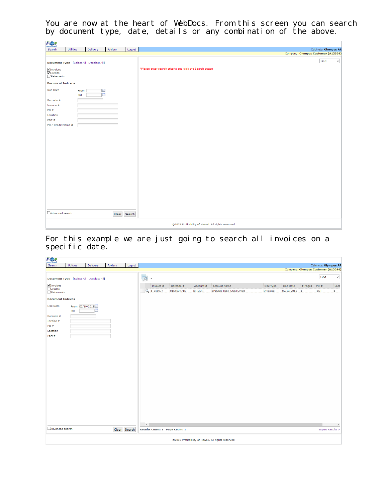You are now at the heart of WebDocs. From this screen you can search by document type, date, details or any combination of the above.

| FOR                                                               |                                         |              |          |         |              |                                                                                   |
|-------------------------------------------------------------------|-----------------------------------------|--------------|----------|---------|--------------|-----------------------------------------------------------------------------------|
| Search                                                            | Utilities                               |              | Delivery | Folders | Logout       | Cabinets: Olympus AR                                                              |
|                                                                   |                                         |              |          |         |              | Company: Olympus Customer (A13394)                                                |
|                                                                   | Document Type [Select All Deselect All] |              |          |         |              | Grid<br>$\checkmark$<br>*Please enter search criteria and click the Search button |
| Invoices<br>$\overline{\blacktriangledown}$ Credits<br>Statements |                                         |              |          |         |              |                                                                                   |
| <b>Document Indexes</b>                                           |                                         |              |          |         |              |                                                                                   |
| Doc Date                                                          |                                         | From:<br>To: | E<br>Ħ   |         |              |                                                                                   |
| Barcode #                                                         |                                         |              |          |         |              |                                                                                   |
| Invoice #                                                         |                                         |              |          |         |              |                                                                                   |
| $PO =$                                                            |                                         |              |          |         |              |                                                                                   |
| Location                                                          |                                         |              |          |         |              |                                                                                   |
| Part #                                                            |                                         |              |          |         |              |                                                                                   |
| PO / Credit Memo #                                                |                                         |              |          |         |              |                                                                                   |
|                                                                   |                                         |              |          |         |              |                                                                                   |
|                                                                   |                                         |              |          |         |              |                                                                                   |
|                                                                   |                                         |              |          |         |              |                                                                                   |
|                                                                   |                                         |              |          |         |              |                                                                                   |
|                                                                   |                                         |              |          |         |              |                                                                                   |
|                                                                   |                                         |              |          |         |              |                                                                                   |
|                                                                   |                                         |              |          |         |              |                                                                                   |
|                                                                   |                                         |              |          |         |              |                                                                                   |
|                                                                   |                                         |              |          |         |              |                                                                                   |
|                                                                   |                                         |              |          |         |              |                                                                                   |
|                                                                   |                                         |              |          |         |              |                                                                                   |
|                                                                   |                                         |              |          |         |              |                                                                                   |
|                                                                   |                                         |              |          |         |              |                                                                                   |
|                                                                   |                                         |              |          |         |              |                                                                                   |
|                                                                   |                                         |              |          |         |              |                                                                                   |
| Advanced search                                                   |                                         |              |          |         | Clear Search |                                                                                   |
|                                                                   |                                         |              |          |         |              |                                                                                   |
|                                                                   |                                         |              |          |         |              | ©2015 Profitability of Hawaii. All rights reserved.                               |

For this example we are just going to search all invoices on a specific date.

| FOI                     |                                         |                |         |              |                         |            |                                |           |                                                     |          |              |         |                                    |              |
|-------------------------|-----------------------------------------|----------------|---------|--------------|-------------------------|------------|--------------------------------|-----------|-----------------------------------------------------|----------|--------------|---------|------------------------------------|--------------|
| Search                  | Utilities                               | Delivery       | Folders | Logout       |                         |            |                                |           |                                                     |          |              |         | Cabinets: Olympus AR               |              |
|                         |                                         |                |         |              |                         |            |                                |           |                                                     |          |              |         | Company: Olympus Customer (A13394) |              |
|                         | Document Type [Select All Deselect All] |                |         |              | $\overline{\mathbf{A}}$ | $\check{}$ |                                |           |                                                     |          |              |         | Grid                               | $\checkmark$ |
| <b>V</b> Invoices       |                                         |                |         |              |                         | Invoice #  | Barcode #                      | Account # | Account Name                                        | Doc Type | Doc Date     | # Pages | PO#                                | Loca         |
| Credits<br>Statements   |                                         |                |         |              |                         | Q 1-546977 | 0154697715                     | EPICOR    | <b>EPICOR TEST CUSTOMER</b>                         | Invoices | 02/19/2015 1 |         | <b>TEST</b>                        | $\vert$ 1    |
| <b>Document Indexes</b> |                                         |                |         |              |                         |            |                                |           |                                                     |          |              |         |                                    |              |
| Doc Date                | From: 02/19/2015<br>To:                 | $\blacksquare$ |         |              |                         |            |                                |           |                                                     |          |              |         |                                    |              |
| Barcode #               |                                         |                |         |              |                         |            |                                |           |                                                     |          |              |         |                                    |              |
| Invoice #               |                                         |                |         |              |                         |            |                                |           |                                                     |          |              |         |                                    |              |
| PO#                     |                                         |                |         |              |                         |            |                                |           |                                                     |          |              |         |                                    |              |
| Location<br>Part #      |                                         |                |         |              |                         |            |                                |           |                                                     |          |              |         |                                    |              |
|                         |                                         |                |         |              |                         |            |                                |           |                                                     |          |              |         |                                    |              |
|                         |                                         |                |         |              |                         |            |                                |           |                                                     |          |              |         |                                    |              |
|                         |                                         |                |         |              |                         |            |                                |           |                                                     |          |              |         |                                    |              |
|                         |                                         |                |         |              |                         |            |                                |           |                                                     |          |              |         |                                    |              |
|                         |                                         |                |         |              |                         |            |                                |           |                                                     |          |              |         |                                    |              |
|                         |                                         |                |         |              |                         |            |                                |           |                                                     |          |              |         |                                    |              |
|                         |                                         |                |         |              |                         |            |                                |           |                                                     |          |              |         |                                    |              |
|                         |                                         |                |         |              |                         |            |                                |           |                                                     |          |              |         |                                    |              |
|                         |                                         |                |         |              |                         |            |                                |           |                                                     |          |              |         |                                    |              |
|                         |                                         |                |         |              |                         |            |                                |           |                                                     |          |              |         |                                    |              |
|                         |                                         |                |         |              |                         |            |                                |           |                                                     |          |              |         |                                    |              |
|                         |                                         |                |         |              |                         |            |                                |           |                                                     |          |              |         |                                    |              |
|                         |                                         |                |         |              |                         |            |                                |           |                                                     |          |              |         |                                    |              |
|                         |                                         |                |         |              |                         |            |                                |           |                                                     |          |              |         |                                    |              |
|                         |                                         |                |         |              |                         |            |                                |           |                                                     |          |              |         |                                    |              |
| Advanced search         |                                         |                |         |              | $\langle \langle$       |            |                                |           |                                                     |          |              |         |                                    | $\,$         |
|                         |                                         |                |         | Clear Search |                         |            | Results Count: 1 Page Count: 1 |           |                                                     |          |              |         | Export Results >                   |              |
|                         |                                         |                |         |              |                         |            |                                |           | ©2015 Profitability of Hawaii. All rights reserved. |          |              |         |                                    |              |